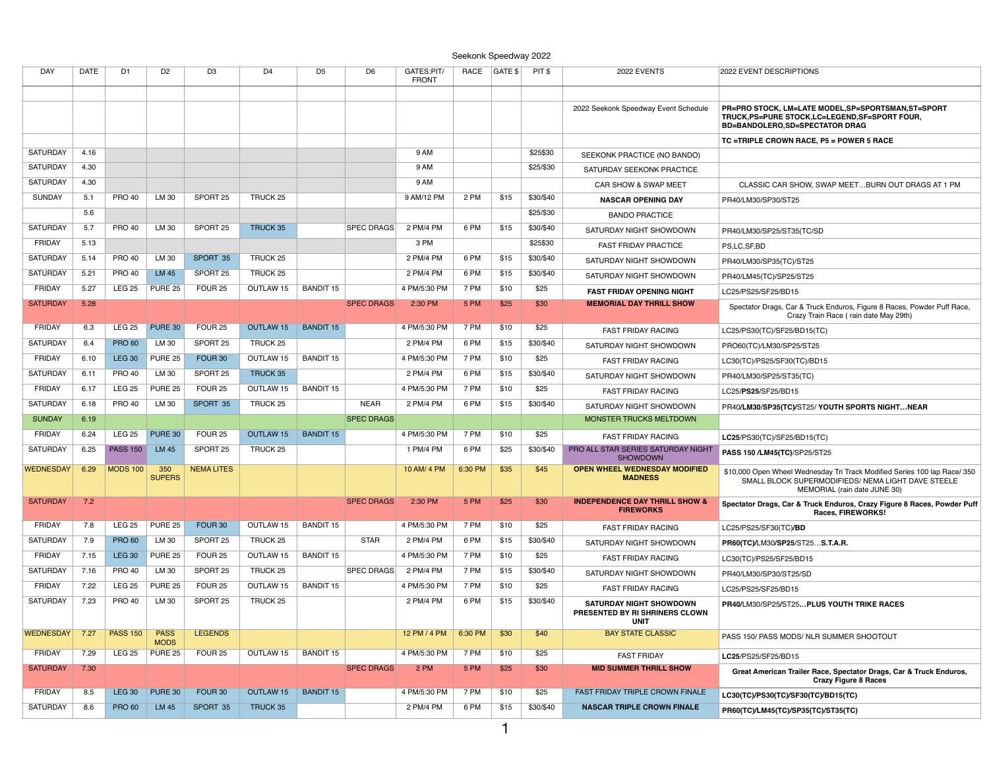## Seekonk Speedway 2022

| <b>DAY</b>       | <b>DATE</b>  | D1              | D <sub>2</sub>             | D <sub>3</sub>                            | D4                  | D <sub>5</sub>   | D <sub>6</sub>    | GATES:PIT/                | <b>RACE</b> | GATE \$ | PIT \$    | 2022 EVENTS                                                   | 2022 EVENT DESCRIPTIONS                                                                                                         |
|------------------|--------------|-----------------|----------------------------|-------------------------------------------|---------------------|------------------|-------------------|---------------------------|-------------|---------|-----------|---------------------------------------------------------------|---------------------------------------------------------------------------------------------------------------------------------|
|                  |              |                 |                            |                                           |                     |                  |                   | <b>FRONT</b>              |             |         |           |                                                               |                                                                                                                                 |
|                  |              |                 |                            |                                           |                     |                  |                   |                           |             |         |           | 2022 Seekonk Speedway Event Schedule                          | PR=PRO STOCK, LM=LATE MODEL, SP=SPORTSMAN, ST=SPORT                                                                             |
|                  |              |                 |                            |                                           |                     |                  |                   |                           |             |         |           |                                                               | TRUCK, PS=PURE STOCK, LC=LEGEND, SF=SPORT FOUR,<br>BD=BANDOLERO,SD=SPECTATOR DRAG                                               |
|                  |              |                 |                            |                                           |                     |                  |                   |                           |             |         |           |                                                               | TC =TRIPLE CROWN RACE, P5 = POWER 5 RACE                                                                                        |
| <b>SATURDAY</b>  | 4.16         |                 |                            |                                           |                     |                  |                   | 9 AM                      |             |         | \$25\$30  | SEEKONK PRACTICE (NO BANDO)                                   |                                                                                                                                 |
| SATURDAY         | 4.30         |                 |                            |                                           |                     |                  |                   | 9 AM                      |             |         | \$25/\$30 | SATURDAY SEEKONK PRACTICE                                     |                                                                                                                                 |
| SATURDAY         | 4.30         |                 |                            |                                           |                     |                  |                   | 9 AM                      |             |         |           | CAR SHOW & SWAP MEET                                          | CLASSIC CAR SHOW, SWAP MEET BURN OUT DRAGS AT 1 PM                                                                              |
| <b>SUNDAY</b>    | 5.1          | <b>PRO 40</b>   | LM 30                      | SPORT <sub>25</sub>                       | TRUCK <sub>25</sub> |                  |                   | 9 AM/12 PM                | 2 PM        | \$15    | \$30/\$40 | <b>NASCAR OPENING DAY</b>                                     | PR40/LM30/SP30/ST25                                                                                                             |
|                  | 5.6          |                 |                            |                                           |                     |                  |                   |                           |             |         | \$25/\$30 | <b>BANDO PRACTICE</b>                                         |                                                                                                                                 |
| SATURDAY         | 5.7          | <b>PRO 40</b>   | LM 30                      | SPORT <sub>25</sub>                       | TRUCK 35            |                  | <b>SPEC DRAGS</b> | 2 PM/4 PM                 | 6 PM        | \$15    | \$30/\$40 | SATURDAY NIGHT SHOWDOWN                                       | PR40/LM30/SP25/ST35(TC/SD                                                                                                       |
| <b>FRIDAY</b>    | 5.13         |                 |                            |                                           |                     |                  |                   | 3 PM                      |             |         | \$25\$30  | <b>FAST FRIDAY PRACTICE</b>                                   | PS,LC,SF,BD                                                                                                                     |
| SATURDAY         | 5.14         | <b>PRO 40</b>   | LM 30                      | SPORT 35                                  | TRUCK 25            |                  |                   | 2 PM/4 PM                 | 6 PM        | \$15    | \$30/\$40 | SATURDAY NIGHT SHOWDOWN                                       | PR40/LM30/SP35(TC)/ST25                                                                                                         |
| SATURDAY         | 5.21         | <b>PRO 40</b>   | <b>LM 45</b>               | SPORT <sub>25</sub>                       | TRUCK 25            |                  |                   | 2 PM/4 PM                 | 6 PM        | \$15    | \$30/\$40 | SATURDAY NIGHT SHOWDOWN                                       | PR40/LM45(TC)/SP25/ST25                                                                                                         |
| <b>FRIDAY</b>    | 5.27         | <b>LEG 25</b>   | <b>PURE 25</b>             | FOUR <sub>25</sub>                        | OUTLAW 15           | <b>BANDIT 15</b> |                   | 4 PM/5:30 PM              | 7 PM        | \$10    | \$25      | <b>FAST FRIDAY OPENING NIGHT</b>                              | LC25/PS25/SF25/BD15                                                                                                             |
| <b>SATURDAY</b>  | 5.28         |                 |                            |                                           |                     |                  | <b>SPEC DRAGS</b> | 2:30 PM                   | 5 PM        | \$25    | \$30      | <b>MEMORIAL DAY THRILL SHOW</b>                               | Spectator Drags, Car & Truck Enduros, Figure 8 Races, Powder Puff Race,                                                         |
| <b>FRIDAY</b>    | 6.3          | <b>LEG 25</b>   | PURE 30                    | FOUR <sub>25</sub>                        | OUTLAW 15           | <b>BANDIT 15</b> |                   | 4 PM/5:30 PM              | 7 PM        | \$10    | \$25      |                                                               | Crazy Train Race (rain date May 29th)                                                                                           |
| SATURDAY         | 6.4          | <b>PRO 60</b>   | LM 30                      | SPORT <sub>25</sub>                       | TRUCK <sub>25</sub> |                  |                   | 2 PM/4 PM                 | 6 PM        | \$15    | \$30/\$40 | <b>FAST FRIDAY RACING</b>                                     | LC25/PS30(TC)/SF25/BD15(TC)                                                                                                     |
| <b>FRIDAY</b>    | 6.10         | <b>LEG 30</b>   | PURE 25                    | FOUR 30                                   | OUTLAW 15           | <b>BANDIT 15</b> |                   | 4 PM/5:30 PM              | 7 PM        | \$10    | \$25      | SATURDAY NIGHT SHOWDOWN                                       | PRO60(TC)/LM30/SP25/ST25                                                                                                        |
| SATURDAY         | 6.11         | <b>PRO 40</b>   | LM 30                      | SPORT 25                                  | TRUCK 35            |                  |                   | 2 PM/4 PM                 | 6 PM        | \$15    | \$30/\$40 | <b>FAST FRIDAY RACING</b>                                     | LC30(TC)/PS25/SF30(TC)/BD15                                                                                                     |
| FRIDAY           | 6.17         | <b>LEG 25</b>   | PURE 25                    | FOUR <sub>25</sub>                        | OUTLAW 15           | <b>BANDIT 15</b> |                   | 4 PM/5:30 PM              | 7 PM        | \$10    | \$25      | SATURDAY NIGHT SHOWDOWN                                       | PR40/LM30/SP25/ST35(TC)                                                                                                         |
| SATURDAY         |              | <b>PRO 40</b>   | LM 30                      | SPORT 35                                  | TRUCK 25            |                  | <b>NEAR</b>       | 2 PM/4 PM                 | 6 PM        | \$15    | \$30/\$40 | <b>FAST FRIDAY RACING</b>                                     | LC25/PS25/SF25/BD15                                                                                                             |
| <b>SUNDAY</b>    | 6.18<br>6.19 |                 |                            |                                           |                     |                  | <b>SPEC DRAGS</b> |                           |             |         |           | SATURDAY NIGHT SHOWDOWN<br>MONSTER TRUCKS MELTDOWN            | PR40/LM30/SP35(TC)/ST25/ YOUTH SPORTS NIGHTNEAR                                                                                 |
|                  |              |                 | PURE 30                    |                                           | OUTLAW 15           | <b>BANDIT 15</b> |                   |                           | 7 PM        |         |           |                                                               |                                                                                                                                 |
| <b>FRIDAY</b>    | 6.24         | <b>LEG 25</b>   |                            | FOUR <sub>25</sub><br>SPORT <sub>25</sub> |                     |                  |                   | 4 PM/5:30 PM<br>1 PM/4 PM | 6 PM        | \$10    | \$25      | <b>FAST FRIDAY RACING</b>                                     | LC25/PS30(TC)/SF25/BD15(TC)                                                                                                     |
| SATURDAY         | 6.25         | <b>PASS 150</b> | LM 45                      |                                           | TRUCK 25            |                  |                   |                           |             | \$25    | \$30/\$40 | PRO ALL STAR SERIES SATURDAY NIGHT<br><b>SHOWDOWN</b>         | PASS 150 /LM45(TC)/SP25/ST25                                                                                                    |
| <b>WEDNESDAY</b> | 6.29         | <b>MODS 100</b> | 350<br><b>SUPERS</b>       | <b>NEMA LITES</b>                         |                     |                  |                   | 10 AM/ 4 PM               | 6:30 PM     | \$35    | \$45      | <b>OPEN WHEEL WEDNESDAY MODIFIED</b><br><b>MADNESS</b>        | \$10,000 Open Wheel Wednesday Tri Track Modified Series 100 lap Race/ 350<br>SMALL BLOCK SUPERMODIFIEDS/ NEMA LIGHT DAVE STEELE |
|                  |              |                 |                            |                                           |                     |                  |                   |                           |             |         |           |                                                               | MEMORIAL (rain date JUNE 30)                                                                                                    |
| <b>SATURDAY</b>  | 7.2          |                 |                            |                                           |                     |                  | <b>SPEC DRAGS</b> | 2:30 PM                   | 5 PM        | \$25    | \$30      | <b>INDEPENDENCE DAY THRILL SHOW &amp;</b><br><b>FIREWORKS</b> | Spectator Drags, Car & Truck Enduros, Crazy Figure 8 Races, Powder Puff<br>Races, FIREWORKS!                                    |
| FRIDAY           | 7.8          | <b>LEG 25</b>   | <b>PURE 25</b>             | FOUR <sub>30</sub>                        | OUTLAW 15           | <b>BANDIT 15</b> |                   | 4 PM/5:30 PM              | 7 PM        | \$10    | \$25      | <b>FAST FRIDAY RACING</b>                                     | LC25/PS25/SF30(TC)/BD                                                                                                           |
| SATURDAY         | 7.9          | <b>PRO 60</b>   | LM 30                      | SPORT <sub>25</sub>                       | TRUCK <sub>25</sub> |                  | <b>STAR</b>       | 2 PM/4 PM                 | 6 PM        | \$15    | \$30/\$40 | SATURDAY NIGHT SHOWDOWN                                       | PR60(TC)/LM30/SP25/ST25S.T.A.R.                                                                                                 |
| <b>FRIDAY</b>    | 7.15         | <b>LEG 30</b>   | <b>PURE 25</b>             | FOUR <sub>25</sub>                        | OUTLAW 15           | <b>BANDIT 15</b> |                   | 4 PM/5:30 PM              | 7 PM        | \$10    | \$25      | <b>FAST FRIDAY RACING</b>                                     | LC30(TC)/PS25/SF25/BD15                                                                                                         |
| SATURDAY         | 7.16         | <b>PRO 40</b>   | LM 30                      | SPORT <sub>25</sub>                       | TRUCK <sub>25</sub> |                  | <b>SPEC DRAGS</b> | 2 PM/4 PM                 | 7 PM        | \$15    | \$30/\$40 | SATURDAY NIGHT SHOWDOWN                                       | PR40/LM30/SP30/ST25/SD                                                                                                          |
| <b>FRIDAY</b>    | 7.22         | <b>LEG 25</b>   | PURE 25                    | FOUR <sub>25</sub>                        | OUTLAW 15           | <b>BANDIT 15</b> |                   | 4 PM/5:30 PM              | 7 PM        | \$10    | \$25      | <b>FAST FRIDAY RACING</b>                                     | LC25/PS25/SF25/BD15                                                                                                             |
| SATURDAY         | 7.23         | <b>PRO 40</b>   | LM 30                      | SPORT 25                                  | TRUCK <sub>25</sub> |                  |                   | 2 PM/4 PM                 | 6 PM        | \$15    | \$30/\$40 | <b>SATURDAY NIGHT SHOWDOWN</b>                                | PR40/LM30/SP25/ST25 PLUS YOUTH TRIKE RACES                                                                                      |
|                  |              |                 |                            |                                           |                     |                  |                   |                           |             |         |           | PRESENTED BY RI SHRINERS CLOWN<br><b>UNIT</b>                 |                                                                                                                                 |
| <b>WEDNESDAY</b> | 7.27         | <b>PASS 150</b> | <b>PASS</b><br><b>MODS</b> | <b>LEGENDS</b>                            |                     |                  |                   | 12 PM / 4 PM              | 6:30 PM     | \$30    | \$40      | <b>BAY STATE CLASSIC</b>                                      | PASS 150/ PASS MODS/ NLR SUMMER SHOOTOUT                                                                                        |
| FRIDAY           | 7.29         | <b>LEG 25</b>   | <b>PURE 25</b>             | FOUR <sub>25</sub>                        | OUTLAW 15           | <b>BANDIT 15</b> |                   | 4 PM/5:30 PM              | 7 PM        | \$10    | \$25      | <b>FAST FRIDAY</b>                                            | LC25/PS25/SF25/BD15                                                                                                             |
| <b>SATURDAY</b>  | 7.30         |                 |                            |                                           |                     |                  | <b>SPEC DRAGS</b> | 2 PM                      | 5 PM        | \$25    | \$30      | <b>MID SUMMER THRILL SHOW</b>                                 | Great American Trailer Race, Spectator Drags, Car & Truck Enduros,<br><b>Crazy Figure 8 Races</b>                               |
| <b>FRIDAY</b>    | 8.5          | <b>LEG 30</b>   | <b>PURE 30</b>             | FOUR <sub>30</sub>                        | OUTLAW 15           | <b>BANDIT 15</b> |                   | 4 PM/5:30 PM              | 7 PM        | \$10    | \$25      | FAST FRIDAY TRIPLE CROWN FINALE                               | LC30(TC)/PS30(TC)/SF30(TC)/BD15(TC)                                                                                             |
| SATURDAY         | 8.6          | <b>PRO 60</b>   | LM 45                      | SPORT 35                                  | TRUCK 35            |                  |                   | 2 PM/4 PM                 | 6 PM        | \$15    | \$30/\$40 | <b>NASCAR TRIPLE CROWN FINALE</b>                             | PR60(TC)/LM45(TC)/SP35(TC)/ST35(TC)                                                                                             |
|                  |              |                 |                            |                                           |                     |                  |                   |                           |             |         |           |                                                               |                                                                                                                                 |